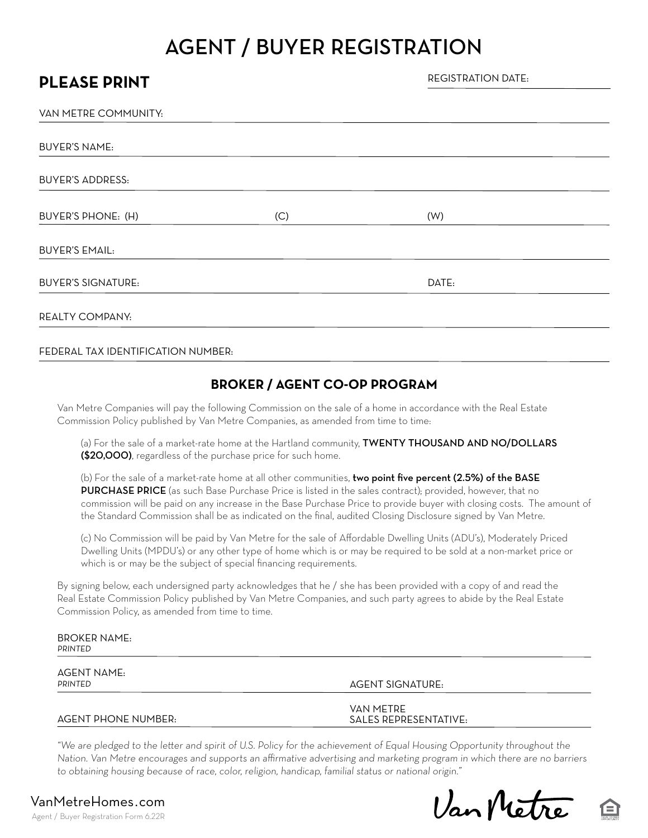# AGENT / BUYER REGISTRATION

### **PLEASE PRINT**

REGISTRATION DATE:

| (C) | (W)   |  |
|-----|-------|--|
|     |       |  |
|     | DATE: |  |
|     |       |  |
|     |       |  |

#### FEDERAL TAX IDENTIFICATION NUMBER:

### **BROKER / AGENT CO-OP PROGRAM**

Van Metre Companies will pay the following Commission on the sale of a home in accordance with the Real Estate Commission Policy published by Van Metre Companies, as amended from time to time:

(a) For the sale of a market-rate home at the Hartland community, TWENTY THOUSAND AND NO/DOLLARS (\$20,000), regardless of the purchase price for such home.

(b) For the sale of a market-rate home at all other communities, two point five percent (2.5%) of the BASE **PURCHASE PRICE** (as such Base Purchase Price is listed in the sales contract); provided, however, that no commission will be paid on any increase in the Base Purchase Price to provide buyer with closing costs. The amount of the Standard Commission shall be as indicated on the final, audited Closing Disclosure signed by Van Metre.

(c) No Commission will be paid by Van Metre for the sale of Affordable Dwelling Units (ADU's), Moderately Priced Dwelling Units (MPDU's) or any other type of home which is or may be required to be sold at a non-market price or which is or may be the subject of special financing requirements.

By signing below, each undersigned party acknowledges that he / she has been provided with a copy of and read the Real Estate Commission Policy published by Van Metre Companies, and such party agrees to abide by the Real Estate Commission Policy, as amended from time to time.

| BROKER NAME:   |  |
|----------------|--|
| <b>PRINTED</b> |  |

AGENT NAME:

#### PRINTED **AGENT SIGNATURE:**

## AGENT PHONE NUMBER: VAN METRE

SALES REPRESENTATIVE:

"We are pledged to the letter and spirit of U.S. Policy for the achievement of Equal Housing Opportunity throughout the Nation. Van Metre encourages and supports an affirmative advertising and marketing program in which there are no barriers to obtaining housing because of race, color, religion, handicap, familial status or national origin."

Agent / Buyer Registration Form 6.22R VanMetreHomes.com

Van Metre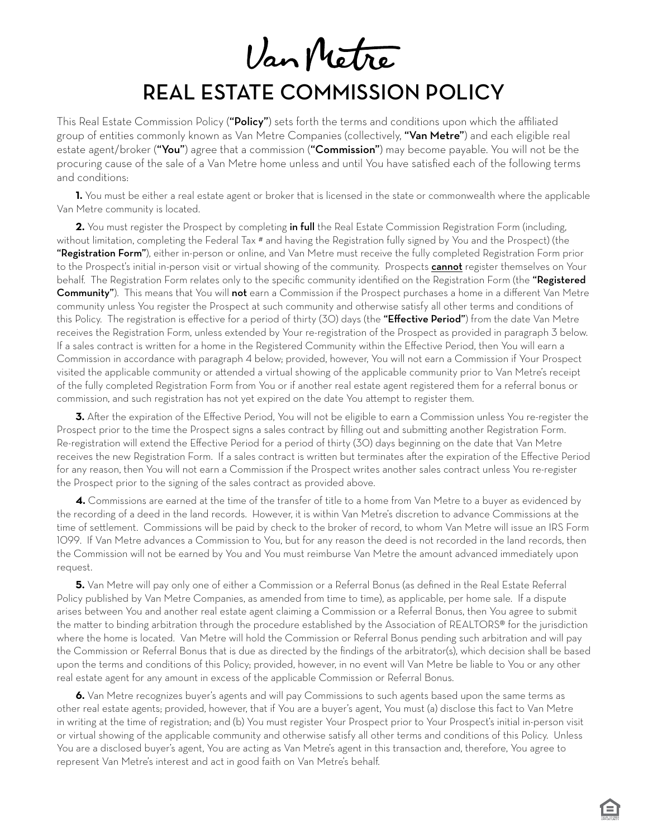Van Metre

## REAL ESTATE COMMISSION POLICY

This Real Estate Commission Policy ("Policy") sets forth the terms and conditions upon which the affiliated group of entities commonly known as Van Metre Companies (collectively, "Van Metre") and each eligible real estate agent/broker ("You") agree that a commission ("Commission") may become payable. You will not be the procuring cause of the sale of a Van Metre home unless and until You have satisfied each of the following terms and conditions:

**1.** You must be either a real estate agent or broker that is licensed in the state or commonwealth where the applicable Van Metre community is located.

**2.** You must register the Prospect by completing in full the Real Estate Commission Registration Form (including, without limitation, completing the Federal Tax # and having the Registration fully signed by You and the Prospect) (the "Registration Form"), either in-person or online, and Van Metre must receive the fully completed Registration Form prior to the Prospect's initial in-person visit or virtual showing of the community. Prospects **cannot** register themselves on Your behalf. The Registration Form relates only to the specific community identified on the Registration Form (the "Registered Community"). This means that You will not earn a Commission if the Prospect purchases a home in a different Van Metre community unless You register the Prospect at such community and otherwise satisfy all other terms and conditions of this Policy. The registration is effective for a period of thirty (30) days (the "Effective Period") from the date Van Metre receives the Registration Form, unless extended by Your re-registration of the Prospect as provided in paragraph 3 below. If a sales contract is written for a home in the Registered Community within the Effective Period, then You will earn a Commission in accordance with paragraph 4 below; provided, however, You will not earn a Commission if Your Prospect visited the applicable community or attended a virtual showing of the applicable community prior to Van Metre's receipt of the fully completed Registration Form from You or if another real estate agent registered them for a referral bonus or commission, and such registration has not yet expired on the date You attempt to register them.

**3.** After the expiration of the Effective Period, You will not be eligible to earn a Commission unless You re-register the Prospect prior to the time the Prospect signs a sales contract by filling out and submitting another Registration Form. Re-registration will extend the Effective Period for a period of thirty (30) days beginning on the date that Van Metre receives the new Registration Form. If a sales contract is written but terminates after the expiration of the Effective Period for any reason, then You will not earn a Commission if the Prospect writes another sales contract unless You re-register the Prospect prior to the signing of the sales contract as provided above.

**4.** Commissions are earned at the time of the transfer of title to a home from Van Metre to a buyer as evidenced by the recording of a deed in the land records. However, it is within Van Metre's discretion to advance Commissions at the time of settlement. Commissions will be paid by check to the broker of record, to whom Van Metre will issue an IRS Form 1099. If Van Metre advances a Commission to You, but for any reason the deed is not recorded in the land records, then the Commission will not be earned by You and You must reimburse Van Metre the amount advanced immediately upon request.

**5.** Van Metre will pay only one of either a Commission or a Referral Bonus (as defined in the Real Estate Referral Policy published by Van Metre Companies, as amended from time to time), as applicable, per home sale. If a dispute arises between You and another real estate agent claiming a Commission or a Referral Bonus, then You agree to submit the matter to binding arbitration through the procedure established by the Association of REALTORS® for the jurisdiction where the home is located. Van Metre will hold the Commission or Referral Bonus pending such arbitration and will pay the Commission or Referral Bonus that is due as directed by the findings of the arbitrator(s), which decision shall be based upon the terms and conditions of this Policy; provided, however, in no event will Van Metre be liable to You or any other real estate agent for any amount in excess of the applicable Commission or Referral Bonus.

**6.** Van Metre recognizes buyer's agents and will pay Commissions to such agents based upon the same terms as other real estate agents; provided, however, that if You are a buyer's agent, You must (a) disclose this fact to Van Metre in writing at the time of registration; and (b) You must register Your Prospect prior to Your Prospect's initial in-person visit or virtual showing of the applicable community and otherwise satisfy all other terms and conditions of this Policy. Unless You are a disclosed buyer's agent, You are acting as Van Metre's agent in this transaction and, therefore, You agree to represent Van Metre's interest and act in good faith on Van Metre's behalf.